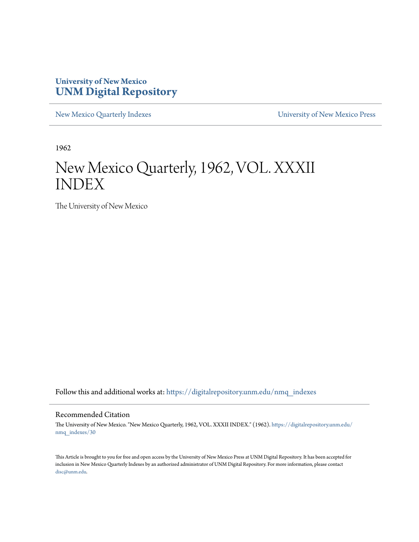#### **University of New Mexico [UNM Digital Repository](https://digitalrepository.unm.edu?utm_source=digitalrepository.unm.edu%2Fnmq_indexes%2F30&utm_medium=PDF&utm_campaign=PDFCoverPages)**

[New Mexico Quarterly Indexes](https://digitalrepository.unm.edu/nmq_indexes?utm_source=digitalrepository.unm.edu%2Fnmq_indexes%2F30&utm_medium=PDF&utm_campaign=PDFCoverPages) [University of New Mexico Press](https://digitalrepository.unm.edu/press?utm_source=digitalrepository.unm.edu%2Fnmq_indexes%2F30&utm_medium=PDF&utm_campaign=PDFCoverPages)

1962

### New Mexico Quarterly, 1962, VOL. XXXII INDEX

The University of New Mexico

Follow this and additional works at: [https://digitalrepository.unm.edu/nmq\\_indexes](https://digitalrepository.unm.edu/nmq_indexes?utm_source=digitalrepository.unm.edu%2Fnmq_indexes%2F30&utm_medium=PDF&utm_campaign=PDFCoverPages)

#### Recommended Citation

The University of New Mexico. "New Mexico Quarterly, 1962, VOL. XXXII INDEX." (1962). [https://digitalrepository.unm.edu/](https://digitalrepository.unm.edu/nmq_indexes/30?utm_source=digitalrepository.unm.edu%2Fnmq_indexes%2F30&utm_medium=PDF&utm_campaign=PDFCoverPages) [nmq\\_indexes/30](https://digitalrepository.unm.edu/nmq_indexes/30?utm_source=digitalrepository.unm.edu%2Fnmq_indexes%2F30&utm_medium=PDF&utm_campaign=PDFCoverPages)

This Article is brought to you for free and open access by the University of New Mexico Press at UNM Digital Repository. It has been accepted for inclusion in New Mexico Quarterly Indexes by an authorized administrator of UNM Digital Repository. For more information, please contact [disc@unm.edu](mailto:disc@unm.edu).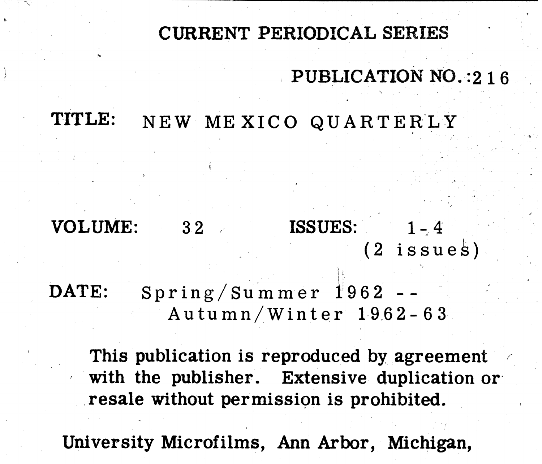# CURRENT PERIODICAL SERIES

## TITLE: NEW MEXICO QUARTERLY

VOLUME:  $32$  ISSUES:

DATE:  $Spring/Summmer 1962 -$ Autumn/Winter 1962-63

This publication is reproduced by agreement with the publisher. Extensive duplication or resale without permission is prohibited.

University Microfilms, Ann Arbor, Michigan,

# PUBLICATION NO.: 216

# $1 - 4$  $(2$  issues)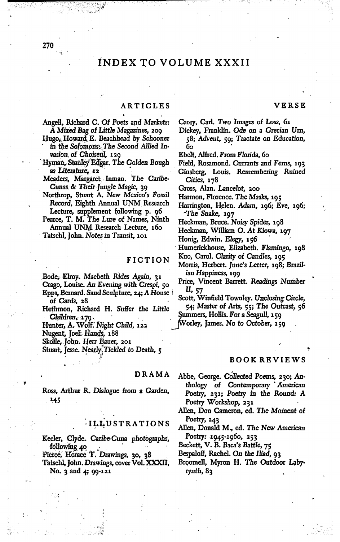#### INDEX TO VOLUME XXXII

#### ARTICLES

#### Angell, Richard C. Of Poets and Markets: A Mixed Bag of Little Magazines, 209

- Hugo, Howard E. Beachhead by Schooner in the Solomons: The Second Allied Invasion of Choiseul, 129
- Hyman, Stanley Edgar. The Golden Bough as Literature, 12
- Meaders, Margaret Inman. The Caribe-Cunas & Their Jungle Magic, 39
- Northrop, Stuart A. New Mexico's Fossil Record, Eighth Annual UNM Research Lecture, supplement following p. 96
- Pearce, T. M. The Lure of Names, Ninth Annual UNM Research Lecture, 160

Tatschl, John. Notes in Transit, 101

#### **FICTION**

Bode, Elroy. Macbeth Rides Again, 31

- Crago, Louise. An Evening with Crespi, 50 Epps, Bernard. Sand Sculpture, 24; A House
- of Cards, 28
- Hethmon, Richard H. Suffer the Little Children, 179.
- Hunter, A. Wolf. Night Child, 122

Nugent, Joel: Hands, 188

Skolle, John. Herr Bauer, 201

Stuart, Jesse. Nearly Tickled to Death, 5

#### DRAMA

Ross, Arthur R. Dialogue from a Garden, 145

#### **ILLUSTRATIONS**

- Keeler, Clyde. Caribe-Cuna photographs, following 40
- Pierce, Horace T. Drawings, 30, 38
- Tatschl, John. Drawings, cover Vol. XXXII, No.  $3$  and  $4$ ;  $99-121$

Carey, Carl. Two Images of Loss, 61

Dickey, Franklin. Ode on a Grecian Urn, 58; Advent, 59; Tractate on Education, бо

Ebelt, Alfred. From Florida, 60

- Field, Rosamond. Currants and Ferns, 193
- Ginsberg, Louis. Remembering Ruined Cities, 178

Gross, Alan. Lancelot, 200

- Harmon, Florence. The Masks, 195
- Harrington, Helen. Adam, 196; Eve, 196; The Snake, 197
- Heckman, Bruce. Noisy Spider, 198
- Heckman, William O. At Kiowa, 197
- Honig, Edwin. Elegy, 156
- Humerickhouse, Elizabeth. Flamingo, 198
- Kuo, Carol. Clarity of Candles, 105
- Morris, Herbert. June's Letter, 198; Brazilian Happiness, 199
- Price, Vincent Barrett. Readings Number II, 57
- Scott, Winfield Townley. Unclosing Circle, 54; Master of Arts, 55; The Outcast, 56

Summers, Hollis. For a Seagull, 159

Worley, James. No to October, 159

#### **BOOK REVIEWS**

Abbe, George. Collected Poems, 230; Anthology of Contemporary American Poetry, 231; Poetry in the Round: A Poetry Workshop, 231

Allen, Don Cameron, ed. The Moment of Poetry,  $243$ 

Allen, Donald M., ed. The New American Poetry: 1945-1960, 253

Beckett, V. B. Baca's Battle, 75

- Bespaloff, Rachel. On the Iliad, 93
- Broomell, Myron H. The Outdoor Labyrynth,  $8<sub>3</sub>$

270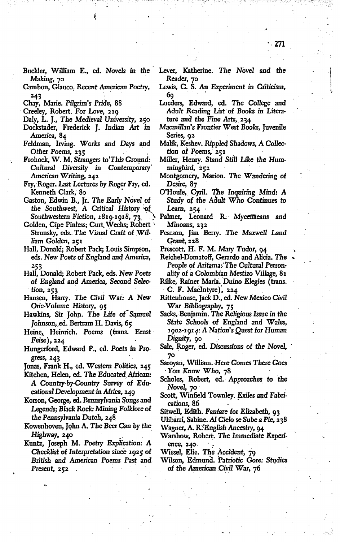- Buckler, William E., ed. *Novels in* the Making, 70
- Cambon, Glauco, Recent American Poetry, 243  $\qquad \qquad$
- Chay, Marie. *Pilgrim's* Pride, 88
- . Creeley, Robert. For *Love,* 219
- Daly, L. J., *The Medieval* University, 2.50
- Dockstader, Frederick J. Indian Art *in* America, 84
- Feldman, Irving. *Works* and Days apd Daly, L. J., The Medieval University, 250<br>Dockstader, Frederick J. Indian Art in<br>America, 84<br>Feldman, Irving. Works and Days and<br>Other Poems, 235<br>Frohock, W. M. Strangers to This Ground:
- *Cultural* Diversity *in* Contemporary' American Writing, 2.42
- Fry, Roger. Last Lectures by Roger Fry, ed. Kenneth Clark, 80
- Gaston, Edwin B., Jr. *The Early Novel* of the Southwest, A Critical History of Southwestern Fiction, 1819-1918, 73.
- Golden, Cipe Pinless; Curt.Wechs; Robert ' Strunsky, cds.. *The* Visual Craft of William Golden, 251
- Hall, Donald; Robert Pack; Louis Simpson, eds. New Poets of England and America, 253
- Hall, Donald; Robert Pack, cds. New Poets of England and America, Second *Selec* tion, 253
- Hansen, Harry. *The Civil* War: A New *One-Volume* History, 95
- Hawkins, Sir John. The Life of Samuel Johnson, ed. Bertram H. Davis, 65
- Heine, Heinrich. Poems (trans. Ernst  $Feise)$ , 224
- Hungerford, Edward P., ed. Poets *in* Progress, 243 .
- Jonas, Frank H., ed. Western Politics, 245
- Kitchen, Helen, ed. The Educated African: A Country-by-Country Survey of Edu*cational*Developmentin *Africa, 249*
- Korson, George, ed. Rennsylvania Songs and Legends; *Black* Rock: *Mining Folklore* of the Pennsylvania *Dutch, 248* A Country-by-Country Survey of Educational Development in Africa, 249<br>Korson, George, ed. Rennsylvania Songs and<br>Legends; Black Rock: Mining Folklore of<br>the Pennsylvania Dutch, 248<br>Kowenhoven, John A. The Beer Can by the<br>H
- Kowenhoven, Jqhn A. *The* Beer Canby the
- *Checklist* of Interpretation since 1925 of *British* and American Poems Past and Present, 252.
- Lever, Katherine. *The Novel* and the Reader, 70
- Lewis, C. S. An Experiment in Criticism, 69
- Lueders, Edward, ed. *The* College and Adult Reading List of Books in Literature 'and the Fine *Arts,. 234*
- Macmillan's Frontier West *Books,* JUVenIle Series, 92
- Malik, Keshev. Rippled Shadows, A *Collec*tion of Poems, 251
- Miller, Henry. Stand Still Like the Hum $m$ ingbird,  $252$
- Montgomery, Marion. *The* Wandering of Desire, 87
- O'Houle,. Cyril. *the* Inquiring *Mind:* A Study of the *Adult* Who Continues to Learn, 254
- Palmer, Leonard R. Myceffaeans and *Minoans, 232*
- Pearson, Jim Berry. *The* Maxwell Land *Grant,* 228

Prescott, H. F. M. Mary Tudor, 94

- Reichel-Domatoff, Gerardo and Alicia. The **People of Aritama: The Cultural Person-**
- ality of a Colombian Mestizo Village, 81 Rilke, Rainer Maria. Duino Elegies (trans. . C. F. MaCIntyre), 224'
- Rittenhouse, JaCk D., ed. New Mexico *Civil* War Bibliography, 75
- Sacks, Benjamin. *The* Religious Issue *in* the State *Schools* of England and Wales, 1902-1914: A Nation's Quest for Human Dignity, 90
- Sale, Roger, ed. Discussions of the *Novel*,
- 7° Saroyan, William. Here Comes There Goes . You Know *Who,* 78 .
- Scholes, Robert, ed.' Approaches to the *Novel,* 70' ,
- Scott, Winfield Townley. Exiles and Fabrications, 86 .
- Sitwell, Edith. Fanfare for Elizabeth, 93
- Ulibarri, Sabine. AI Cie10 se Sube a Pie, 238 Wagner, A. R.<sup>\*</sup>English Ancestry, 94
- Warshow, Robert. The Immediate Experi-
- ence, 2.40 . Wiesel, Elie. *The'* Accident, '79
- Wilson, Edmund. Patriotic Gore: Studies of the American Civil War, 76